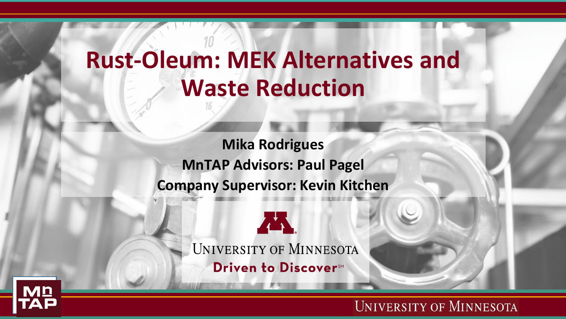## **Rust-Oleum: MEK Alternatives and Waste Reduction**

**Mika Rodrigues MnTAP Advisors: Paul Pagel Company Supervisor: Kevin Kitchen**



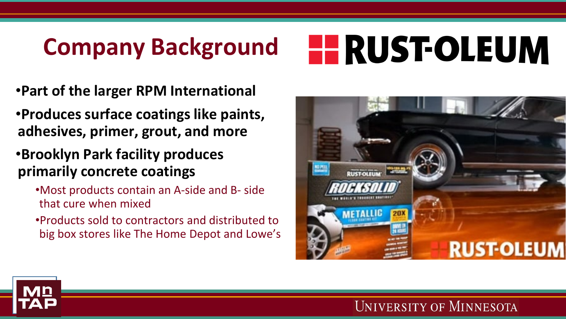## **Company Background**

# **HE RUST-OLEUM**

- •**Part of the larger RPM International**
- •**Produces surface coatings like paints, adhesives, primer, grout, and more**
- •**Brooklyn Park facility produces primarily concrete coatings** 
	- •Most products contain an A-side and B- side that cure when mixed
	- •Products sold to contractors and distributed to big box stores like The Home Depot and Lowe's



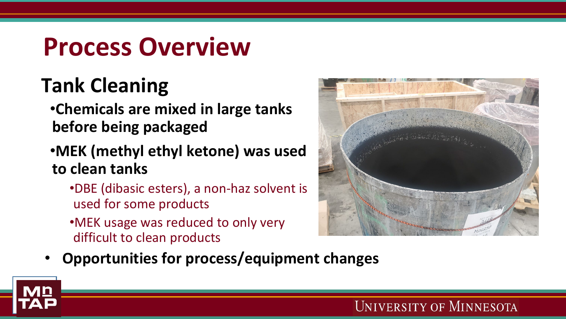## **Process Overview**

#### **Tank Cleaning**

•**Chemicals are mixed in large tanks before being packaged**

#### •**MEK (methyl ethyl ketone) was used to clean tanks**

- •DBE (dibasic esters), a non-haz solvent is used for some products
- •MEK usage was reduced to only very difficult to clean products



• **Opportunities for process/equipment changes**

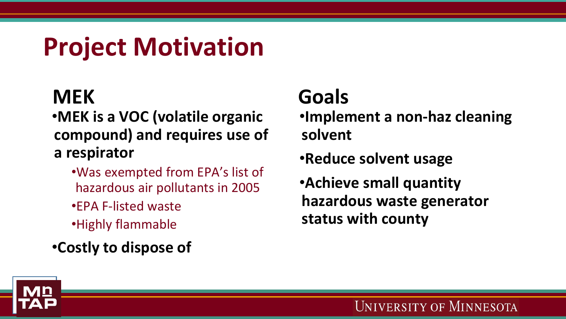## **Project Motivation**

#### **MEK**

- •**MEK is a VOC (volatile organic compound) and requires use of a respirator** 
	- •Was exempted from EPA's list of hazardous air pollutants in 2005
	- •EPA F-listed waste
	- •Highly flammable
- •**Costly to dispose of**

#### **Goals**

- •**Implement a non-haz cleaning solvent**
- •**Reduce solvent usage**
- •**Achieve small quantity hazardous waste generator status with county**

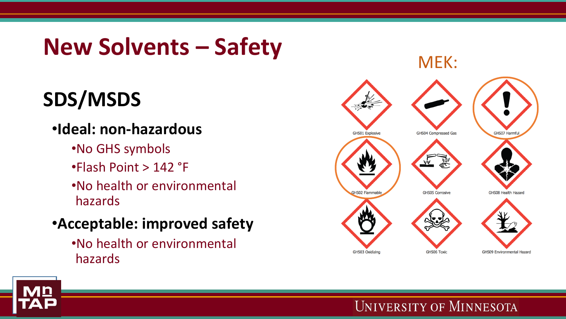### **New Solvents – Safety**

### **SDS/MSDS**

#### •**Ideal: non-hazardous**

- •No GHS symbols
- •Flash Point > 142 °F
- •No health or environmental hazards
- •**Acceptable: improved safety**
	- •No health or environmental hazards

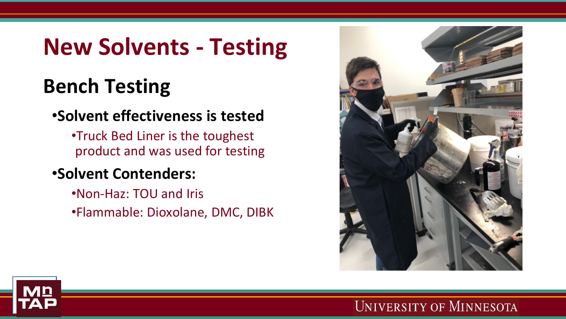## **New Solvents - Testing**

#### **Bench Testing**

#### •**Solvent effectiveness is tested**

•Truck Bed Liner is the toughest product and was used for testing

#### •**Solvent Contenders:**

•Non-Haz: TOU and Iris •Flammable: Dioxolane, DMC, DIBK

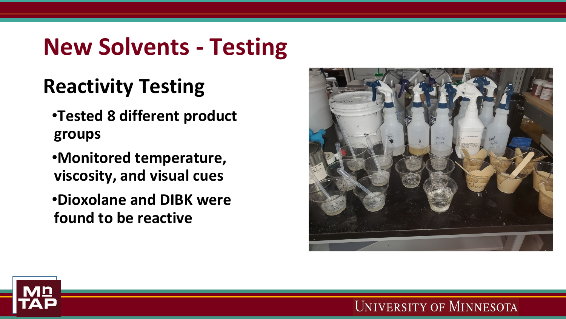## **New Solvents - Testing**

#### **Reactivity Testing**

- •**Tested 8 different product groups**
- •**Monitored temperature, viscosity, and visual cues**
- •**Dioxolane and DIBK were found to be reactive**



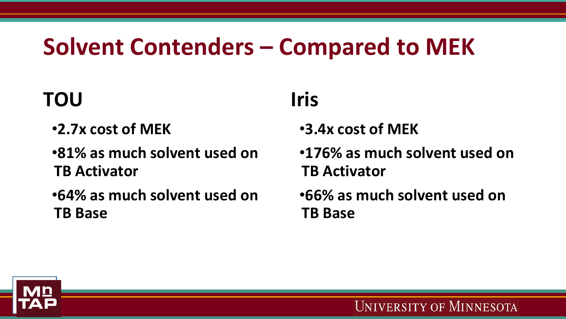## **Solvent Contenders – Compared to MEK**

#### **TOU**

- •**2.7x cost of MEK**
- •**81% as much solvent used on TB Activator**
- •**64% as much solvent used on TB Base**

#### **Iris**

- •**3.4x cost of MEK**
- •**176% as much solvent used on TB Activator**
- •**66% as much solvent used on TB Base**

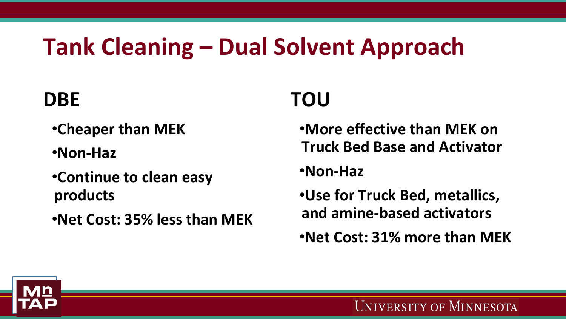## **Tank Cleaning – Dual Solvent Approach**

#### **DBE**

- •**Cheaper than MEK**
- •**Non-Haz**
- •**Continue to clean easy products**
- •**Net Cost: 35% less than MEK**

#### **TOU**

- •**More effective than MEK on Truck Bed Base and Activator**
- •**Non-Haz**
- •**Use for Truck Bed, metallics, and amine-based activators**
- •**Net Cost: 31% more than MEK**

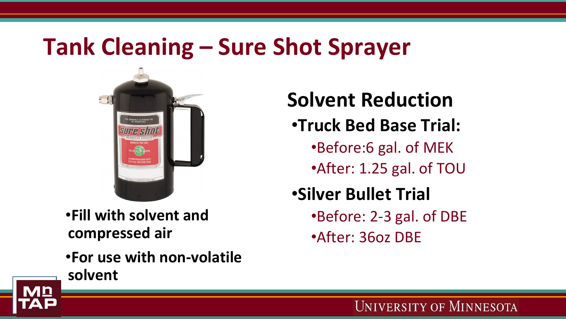#### **Tank Cleaning – Sure Shot Sprayer**



•**Fill with solvent and compressed air**

•**For use with non-volatile solvent**

#### **Solvent Reduction**

#### •**Truck Bed Base Trial:**

- •Before:6 gal. of MEK
- •After: 1.25 gal. of TOU

#### •**Silver Bullet Trial**

- •Before: 2-3 gal. of DBE
- •After: 36oz DBE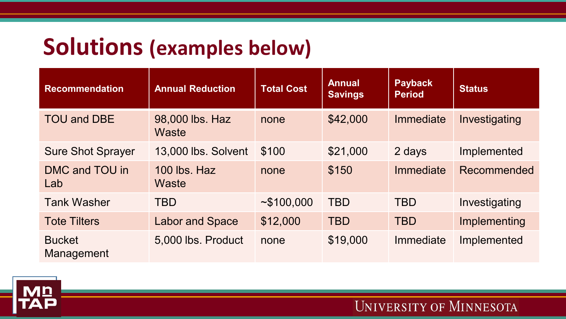#### **Solutions (examples below)**

| <b>Recommendation</b>       | <b>Annual Reduction</b>  | <b>Total Cost</b> | <b>Annual</b><br><b>Savings</b> | <b>Payback</b><br><b>Period</b> | <b>Status</b> |
|-----------------------------|--------------------------|-------------------|---------------------------------|---------------------------------|---------------|
| <b>TOU and DBE</b>          | 98,000 lbs. Haz<br>Waste | none              | \$42,000                        | Immediate                       | Investigating |
| <b>Sure Shot Sprayer</b>    | 13,000 lbs. Solvent      | \$100             | \$21,000                        | 2 days                          | Implemented   |
| DMC and TOU in<br>Lab       | 100 lbs. Haz<br>Waste    | none              | \$150                           | Immediate                       | Recommended   |
| <b>Tank Washer</b>          | <b>TBD</b>               | ~100,000          | <b>TBD</b>                      | <b>TBD</b>                      | Investigating |
| <b>Tote Tilters</b>         | <b>Labor and Space</b>   | \$12,000          | <b>TBD</b>                      | <b>TBD</b>                      | Implementing  |
| <b>Bucket</b><br>Management | 5,000 lbs. Product       | none              | \$19,000                        | Immediate                       | Implemented   |